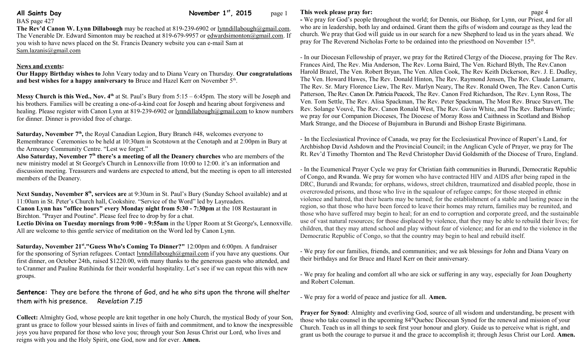**All Saints Day 11 Contract Contract Contract Contract Contract Contract Contract Contract Contract Contract Contract Contract Contract Contract Contract Contract Contract Contract Contract Contract Contract Contract Contr** 

BAS page 427

**The Rev'd Canon W. Lynn Dillabough** may be reached at 819-239-6902 or [lynndillabough@gmail.com.](mailto:lynndillabough@gmail.com) The Venerable Dr. Edward Simonton may be reached at 819-679-9957 or [edwardsimonton@gmail.com.](mailto:edwardsimonton@gmail.com) If you wish to have news placed on the St. Francis Deanery website you can e-mail Sam at [Sam.lazanis@gmail.com](mailto:Sam.lazanis@gmail.com)

## **News and events:**

**Our Happy Birthday wishes to** John Veary today and to Diana Veary on Thursday. **Our congratulations**  and best wishes for a happy anniversary to Bruce and Hazel Kerr on November 5<sup>th</sup>.

**Messy Church is this Wed., Nov. 4<sup>th</sup>** at St. Paul's Bury from 5:15 – 6:45pm. The story will be Joseph and his brothers. Families will be creating a one-of-a-kind coat for Joseph and hearing about forgiveness and healing. Please register with Canon Lynn at 819-239-6902 or [lynndillabough@gmail.com](mailto:lynndillabough@gmail.com) to know numbers for dinner. Dinner is provided free of charge.

Saturday, November 7<sup>th</sup>, the Royal Canadian Legion, Bury Branch #48, welcomes everyone to Remembrance Ceremonies to be held at 10:30am in Scotstown at the Cenotaph and at 2:00pm in Bury at the Armoury Community Centre. "Lest we forget."

**Also Saturday, November 7th there's a meeting of all the Deanery churches** who are members of the new ministry model at St George's Church in Lennoxville from 10:00 to 12:00. it's an information and discussion meeting. Treasurers and wardens are expected to attend, but the meeting is open to all interested members of the Deanery.

**Next Sunday, November 8th, services are** at 9:30am in St. Paul's Bury (Sunday School available) and at 11:00am in St. Peter's Church hall, Cookshire. "Service of the Word" led by Layreaders. **Canon Lynn has "office hours" every Monday night from 5:30 - 7:30pm** at the 108 Restaurant in Birchton. "Prayer and Poutine". Please feel free to drop by for a chat.

**Lectio Divina on Tuesday mornings from 9:00 - 9:55am** in the Upper Room at St George's, Lennoxville. All are welcome to this gentle service of meditation on the Word led by Canon Lynn.

**Saturday, November 21st ."Guess Who's Coming To Dinner?"** 12:00pm and 6:00pm. A fundraiser for the sponsoring of Syrian refugees. Contact [lynndillabough@gmail.com](mailto:lynndillabough@gmail.com) if you have any questions. Our first dinner, on October 24th, raised \$1220.00, with many thanks to the generous guests who attended, and to Cranmer and Pauline Rutihinda for their wonderful hospitality. Let's see if we can repeat this with new groups.

**Sentence:** They are before the throne of God, and he who sits upon the throne will shelter them with his presence. *Revelation 7.15*

**Collect:** Almighty God, whose people are knit together in one holy Church, the mystical Body of your Son, grant us grace to follow your blessed saints in lives of faith and commitment, and to know the inexpressible joys you have prepared for those who love you; through your Son Jesus Christ our Lord, who lives and reigns with you and the Holy Spirit, one God, now and for ever. **Amen.**

## **This week please pray for: page 4**

**-** We pray for God's people throughout the world; for Dennis, our Bishop, for Lynn, our Priest, and for all who are in leadership, both lay and ordained. Grant them the gifts of wisdom and courage as they lead the church. We pray that God will guide us in our search for a new Shepherd to lead us in the years ahead. We pray for The Reverend Nicholas Forte to be ordained into the priesthood on November 15<sup>th</sup>.

- In our Diocesan Fellowship of prayer, we pray for the Retired Clergy of the Diocese, praying for The Rev. Frances Aird, The Rev. Mia Anderson, The Rev. Lorna Baird, The Ven. Richard Blyth, The Rev.Canon Harold Brazel, The Ven. Robert Bryan, The Ven. Allen Cook, The Rev Keith Dickerson, Rev. J. E. Dudley, The Ven. Howard Hawes, The Rev. Donald Hinton, The Rev. Raymond Jensen, The Rev. Claude Lamarre, The Rev. Sr. Mary Florence Liew, The Rev. Marlyn Neary, The Rev. Ronald Owen, The Rev. Canon Curtis Patterson, The Rev. Canon Dr. Patricia Peacock, The Rev. Canon Fred Richardson, The Rev. Lynn Ross, The Ven. Tom Settle, The Rev. Alisa Spackman, The Rev. Peter Spackman, The Most Rev. Bruce Stavert, The Rev. Solange Vouvé, The Rev. Canon Ronald West, The Rev. Gavin White, and The Rev. Barbara Wintle; we pray for our Companion Dioceses, The Diocese of Moray Ross and Caithness in Scotland and Bishop Mark Strange, and the Diocese of Bujumbura in Burundi and Bishop Eraste Bigirimana.

- In the Ecclesiastical Province of Canada, we pray for the Ecclesiastical Province of Rupert's Land, for Archbishop David Ashdown and the Provincial Council; in the Anglican Cycle of Prayer, we pray for The Rt. Rev'd Timothy Thornton and The Revd Christopher David Goldsmith of the Diocese of Truro, England.

- In the Ecumenical Prayer Cycle we pray for Christian faith communities in Burundi, Democratic Republic of Congo, and Rwanda. We pray for women who have contracted HIV and AIDS after being raped in the DRC, Burundi and Rwanda; for orphans, widows, street children, traumatized and disabled people, those in overcrowded prisons, and those who live in the squalour of refugee camps; for those steeped in ethnic violence and hatred, that their hearts may be turned; for the establishment of a stable and lasting peace in the region, so that those who have been forced to leave their homes may return, families may be reunited, and those who have suffered may begin to heal; for an end to corruption and corporate greed, and the sustainable use of vast natural resources; for those displaced by violence, that they may be able to rebuild their lives; for children, that they may attend school and play without fear of violence; and for an end to the violence in the Democratic Republic of Congo, so that the country may begin to heal and rebuild itself.

- We pray for our families, friends, and communities; and we ask blessings for John and Diana Veary on their birthdays and for Bruce and Hazel Kerr on their anniversary.

- We pray for healing and comfort all who are sick or suffering in any way, especially for Joan Dougherty and Robert Coleman.

- We pray for a world of peace and justice for all. **Amen.**

**Prayer for Synod:** Almighty and everliving God, source of all wisdom and understanding, be present with those who take counsel in the upcoming  $84<sup>th</sup>$ Quebec Diocesan Synod for the renewal and mission of your Church. Teach us in all things to seek first your honour and glory. Guide us to perceive what is right, and grant us both the courage to pursue it and the grace to accomplish it; through Jesus Christ our Lord. **Amen.**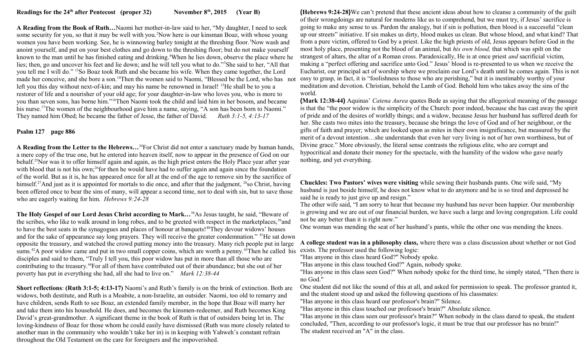**A Reading from the Book of Ruth…**Naomi her mother-in-law said to her, "My daughter, I need to seek some security for you, so that it may be well with you.<sup>2</sup>Now here is our kinsman Boaz, with whose young women you have been working. See, he is winnowing barley tonight at the threshing floor.<sup>3</sup>Now wash and anoint yourself, and put on your best clothes and go down to the threshing floor; but do not make yourself known to the man until he has finished eating and drinking.<sup>4</sup>When he lies down, observe the place where he lies; then, go and uncover his feet and lie down; and he will tell you what to do."<sup>5</sup>She said to her, "All that you tell me I will do." <sup>13</sup>So Boaz took Ruth and she became his wife. When they came together, the Lord made her conceive, and she bore a son.<sup>14</sup>Then the women said to Naomi, "Blessed be the Lord, who has not left you this day without next-of-kin; and may his name be renowned in Israel! <sup>15</sup>He shall be to you a restorer of life and a nourisher of your old age; for your daughter-in-law who loves you, who is more to you than seven sons, has borne him."<sup>16</sup>Then Naomi took the child and laid him in her bosom, and became his nurse.<sup>17</sup>The women of the neighbourhood gave him a name, saying, "A son has been born to Naomi." They named him Obed; he became the father of Jesse, the father of David. *Ruth 3:1-5, 4:13-17*

## **Psalm 127 page 886**

**A Reading from the Letter to the Hebrews…**<sup>24</sup>For Christ did not enter a sanctuary made by human hands, a mere copy of the true one, but he entered into heaven itself, now to appear in the presence of God on our behalf.<sup>25</sup>Nor was it to offer himself again and again, as the high priest enters the Holy Place year after year with blood that is not his own;<sup>26</sup>for then he would have had to suffer again and again since the foundation of the world. But as it is, he has appeared once for all at the end of the age to remove sin by the sacrifice of himself.<sup>27</sup>And just as it is appointed for mortals to die once, and after that the judgment, <sup>28</sup>so Christ, having been offered once to bear the sins of many, will appear a second time, not to deal with sin, but to save those who are eagerly waiting for him. *Hebrews 9:24-28*

**The Holy Gospel of our Lord Jesus Christ according to Mark…**<sup>38</sup>As Jesus taught, he said, "Beware of the scribes, who like to walk around in long robes, and to be greeted with respect in the marketplaces,<sup>39</sup>and to have the best seats in the synagogues and places of honour at banquets!<sup>40</sup>They devour widows' houses and for the sake of appearance say long prayers. They will receive the greater condemnation." <sup>41</sup>He sat down opposite the treasury, and watched the crowd putting money into the treasury. Many rich people put in large sums.<sup>42</sup>A poor widow came and put in two small copper coins, which are worth a penny.<sup>43</sup>Then he called his disciples and said to them, "Truly I tell you, this poor widow has put in more than all those who are contributing to the treasury.<sup>44</sup>For all of them have contributed out of their abundance; but she out of her poverty has put in everything she had, all she had to live on." *Mark 12:38-44* 

**Short reflections**: **(Ruth 3:1-5; 4:13-17)** Naomi's and Ruth's family is on the brink of extinction. Both are widows, both destitute, and Ruth is a Moabite, a non-Israelite, an outsider. Naomi, too old to remarry and have children, sends Ruth to see Boaz, an extended family member, in the hope that Boaz will marry her and take them into his household. He does, and becomes the kinsmen-redeemer, and Ruth becomes King David's great-grandmother. A significant theme in the book of Ruth is that of outsiders being let in. The loving-kindness of Boaz for those whom he could easily have dismissed (Ruth was more closely related to another man in the community who wouldn't take her in) is in keeping with Yahweh's constant refrain throughout the Old Testament on the care for foreigners and the impoverished.

**(Hebrews 9:24-28)**We can't pretend that these ancient ideas about how to cleanse a community of the guilt of their wrongdoings are natural for moderns like us to comprehend, but we must try, if Jesus' sacrifice is going to make any sense to us. Pardon the analogy, but if sin is pollution, then blood is a successful "clean up our streets" initiative. If sin makes us dirty, blood makes us clean. But whose blood, and what kind? That from a pure victim, offered to God by a priest. Like the high priests of old, Jesus appears before God in the most holy place, presenting not the blood of an animal, but *his own blood,* that which was spilt on the strangest of altars, the altar of a Roman cross. Paradoxically, He is at once priest *and* sacrificial victim, making a "perfect offering and sacrifice unto God." Jesus' blood is re-presented to us when we receive the Eucharist, our principal act of worship where we proclaim our Lord's death until he comes again. This is not easy to grasp, in fact, it is "foolishness to those who are perishing," but it is inestimably worthy of your meditation and devotion. Christian, behold the Lamb of God. Behold him who takes away the sins of the world.

**(Mark 12:38-44)** Aquinas' *Catena Aurea* quotes Bede as saying that the allegorical meaning of the passage is that the "the poor widow is the simplicity of the Church: poor indeed, because she has cast away the spirit of pride and of the desires of worldly things; and a widow, because Jesus her husband has suffered death for her. She casts two mites into the treasury, because she brings the love of God and of her neighbour, or the gifts of faith and prayer; which are looked upon as mites in their own insignificance, but measured by the merit of a devout intention…she understands that even her very living is not of her own worthiness, but of Divine grace." More obviously, the literal sense contrasts the religious elite, who are corrupt and hypocritical and donate their money for the spectacle, with the humility of the widow who gave nearly nothing, and yet everything.

**Chuckles: Two Pastors' wives were visiting** while sewing their husbands pants. One wife said, "My husband is just beside himself, he does not know what to do anymore and he is so tired and depressed he said he is ready to just give up and resign."

The other wife said, "I am sorry to hear that because my husband has never been happier. Our membership is growing and we are out of our financial burden, we have such a large and loving congregation. Life could not be any better than it is right now."

One woman was mending the seat of her husband's pants, while the other one was mending the knees.

**A college student was in a philosophy class,** where there was a class discussion about whether or not God exists. The professor used the following logic:

"Has anyone in this class heard God?" Nobody spoke.

"Has anyone in this class touched God?" Again, nobody spoke.

"Has anyone in this class seen God?" When nobody spoke for the third time, he simply stated, "Then there is no God."

One student did not like the sound of this at all, and asked for permission to speak. The professor granted it, and the student stood up and asked the following questions of his classmates:

"Has anyone in this class heard our professor's brain?" Silence.

"Has anyone in this class touched our professor's brain?" Absolute silence.

"Has anyone in this class seen our professor's brain?" When nobody in the class dared to speak, the student concluded, "Then, according to our professor's logic, it must be true that our professor has no brain!" The student received an "A" in the class.